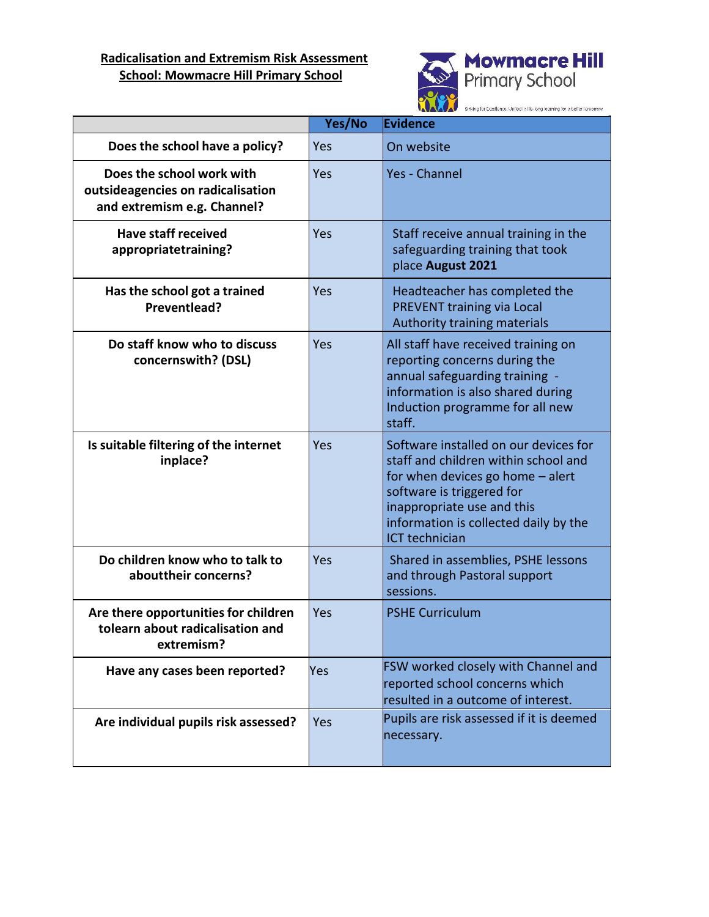## **Radicalisation and Extremism Risk Assessment School: Mowmacre Hill Primary School**



|                                                                                               | Yes/No | <b>Evidence</b>                                                                                                                                                                                                                                |
|-----------------------------------------------------------------------------------------------|--------|------------------------------------------------------------------------------------------------------------------------------------------------------------------------------------------------------------------------------------------------|
| Does the school have a policy?                                                                | Yes    | On website                                                                                                                                                                                                                                     |
| Does the school work with<br>outsideagencies on radicalisation<br>and extremism e.g. Channel? | Yes    | <b>Yes - Channel</b>                                                                                                                                                                                                                           |
| <b>Have staff received</b><br>appropriatetraining?                                            | Yes    | Staff receive annual training in the<br>safeguarding training that took<br>place August 2021                                                                                                                                                   |
| Has the school got a trained<br>Preventlead?                                                  | Yes    | Headteacher has completed the<br>PREVENT training via Local<br>Authority training materials                                                                                                                                                    |
| Do staff know who to discuss<br>concernswith? (DSL)                                           | Yes    | All staff have received training on<br>reporting concerns during the<br>annual safeguarding training -<br>information is also shared during<br>Induction programme for all new<br>staff.                                                       |
| Is suitable filtering of the internet<br>inplace?                                             | Yes    | Software installed on our devices for<br>staff and children within school and<br>for when devices go home - alert<br>software is triggered for<br>inappropriate use and this<br>information is collected daily by the<br><b>ICT</b> technician |
| Do children know who to talk to<br>abouttheir concerns?                                       | Yes    | Shared in assemblies, PSHE lessons<br>and through Pastoral support<br>sessions.                                                                                                                                                                |
| Are there opportunities for children<br>tolearn about radicalisation and<br>extremism?        | Yes    | <b>PSHE Curriculum</b>                                                                                                                                                                                                                         |
| Have any cases been reported?                                                                 | Yes    | <b>FSW worked closely with Channel and</b><br>reported school concerns which<br>resulted in a outcome of interest.                                                                                                                             |
| Are individual pupils risk assessed?                                                          | Yes    | Pupils are risk assessed if it is deemed<br>necessary.                                                                                                                                                                                         |